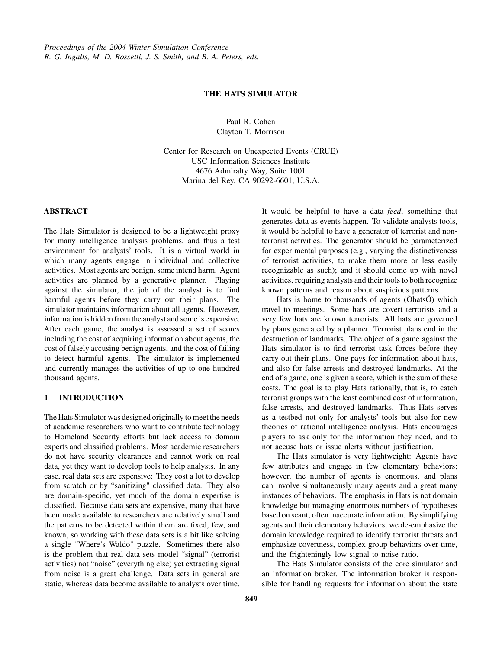#### **THE HATS SIMULATOR**

Paul R. Cohen Clayton T. Morrison

Center for Research on Unexpected Events (CRUE) USC Information Sciences Institute 4676 Admiralty Way, Suite 1001 Marina del Rey, CA 90292-6601, U.S.A.

### **ABSTRACT**

The Hats Simulator is designed to be a lightweight proxy for many intelligence analysis problems, and thus a test environment for analysts' tools. It is a virtual world in which many agents engage in individual and collective activities. Most agents are benign, some intend harm. Agent activities are planned by a generative planner. Playing against the simulator, the job of the analyst is to find harmful agents before they carry out their plans. The simulator maintains information about all agents. However, information is hidden from the analyst and some is expensive. After each game, the analyst is assessed a set of scores including the cost of acquiring information about agents, the cost of falsely accusing benign agents, and the cost of failing to detect harmful agents. The simulator is implemented and currently manages the activities of up to one hundred thousand agents.

#### **1 INTRODUCTION**

The Hats Simulator was designed originally to meet the needs of academic researchers who want to contribute technology to Homeland Security efforts but lack access to domain experts and classified problems. Most academic researchers do not have security clearances and cannot work on real data, yet they want to develop tools to help analysts. In any case, real data sets are expensive: They cost a lot to develop from scratch or by "sanitizing" classified data. They also are domain-specific, yet much of the domain expertise is classified. Because data sets are expensive, many that have been made available to researchers are relatively small and the patterns to be detected within them are fixed, few, and known, so working with these data sets is a bit like solving a single "Where's Waldo" puzzle. Sometimes there also is the problem that real data sets model "signal" (terrorist activities) not "noise" (everything else) yet extracting signal from noise is a great challenge. Data sets in general are static, whereas data become available to analysts over time.

It would be helpful to have a data *feed*, something that generates data as events happen. To validate analysts tools, it would be helpful to have a generator of terrorist and nonterrorist activities. The generator should be parameterized for experimental purposes (e.g., varying the distinctiveness of terrorist activities, to make them more or less easily recognizable as such); and it should come up with novel activities, requiring analysts and their tools to both recognize known patterns and reason about suspicious patterns.

Hats is home to thousands of agents (ÒhatsÓ) which travel to meetings. Some hats are covert terrorists and a very few hats are known terrorists. All hats are governed by plans generated by a planner. Terrorist plans end in the destruction of landmarks. The object of a game against the Hats simulator is to find terrorist task forces before they carry out their plans. One pays for information about hats, and also for false arrests and destroyed landmarks. At the end of a game, one is given a score, which is the sum of these costs. The goal is to play Hats rationally, that is, to catch terrorist groups with the least combined cost of information, false arrests, and destroyed landmarks. Thus Hats serves as a testbed not only for analysts' tools but also for new theories of rational intelligence analysis. Hats encourages players to ask only for the information they need, and to not accuse hats or issue alerts without justification.

The Hats simulator is very lightweight: Agents have few attributes and engage in few elementary behaviors; however, the number of agents is enormous, and plans can involve simultaneously many agents and a great many instances of behaviors. The emphasis in Hats is not domain knowledge but managing enormous numbers of hypotheses based on scant, often inaccurate information. By simplifying agents and their elementary behaviors, we de-emphasize the domain knowledge required to identify terrorist threats and emphasize covertness, complex group behaviors over time, and the frighteningly low signal to noise ratio.

The Hats Simulator consists of the core simulator and an information broker. The information broker is responsible for handling requests for information about the state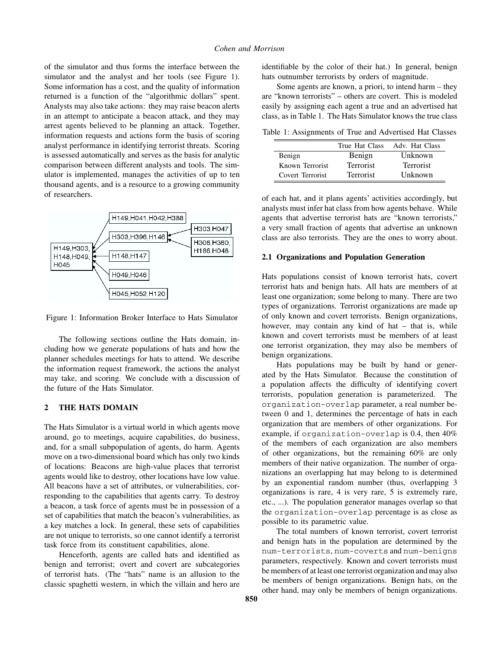<span id="page-1-0"></span>of the simulator and thus forms the interface between the simulator and the analyst and her tools (see Figure 1). Some information has a cost, and the quality of information returned is a function of the "algorithmic dollars" spent. Analysts may also take actions: they may raise beacon alerts in an attempt to anticipate a beacon attack, and they may arrest agents believed to be planning an attack. Together, information requests and actions form the basis of scoring analyst performance in identifying terrorist threats. Scoring is assessed automatically and serves as the basis for analytic comparison between different analysts and tools. The simulator is implemented, manages the activities of up to ten thousand agents, and is a resource to a growing community of researchers.



Figure 1: Information Broker Interface to Hats Simulator

The following sections outline the Hats domain, including how we generate populations of hats and how the planner schedules meetings for hats to attend. We describe the information request framework, the actions the analyst may take, and scoring. We conclude with a discussion of the future of the Hats Simulator.

#### **2 THE HATS DOMAIN**

The Hats Simulator is a virtual world in which agents move around, go to meetings, acquire capabilities, do business, and, for a small subpopulation of agents, do harm. Agents move on a two-dimensional board which has only two kinds of locations: Beacons are high-value places that terrorist agents would like to destroy, other locations have low value. All beacons have a set of attributes, or vulnerabilities, corresponding to the capabilities that agents carry. To destroy a beacon, a task force of agents must be in possession of a set of capabilities that match the beacon's vulnerabilities, as a key matches a lock. In general, these sets of capabilities are not unique to terrorists, so one cannot identify a terrorist task force from its constituent capabilities, alone.

Henceforth, agents are called hats and identified as benign and terrorist; overt and covert are subcategories of terrorist hats. (The "hats" name is an allusion to the classic spaghetti western, in which the villain and hero are

identifiable by the color of their hat.) In general, benign hats outnumber terrorists by orders of magnitude.

Some agents are known, a priori, to intend harm – they are "known terrorists" – others are covert. This is modeled easily by assigning each agent a true and an advertised hat class, as in Table 1. The Hats Simulator knows the true class

Table 1: Assignments of True and Advertised Hat Classes

|                  |                  | True Hat Class Adv. Hat Class |  |  |
|------------------|------------------|-------------------------------|--|--|
| Benign           | Benign           | Unknown                       |  |  |
| Known Terrorist  | Terrorist        | <b>Terrorist</b><br>Unknown   |  |  |
| Covert Terrorist | <b>Terrorist</b> |                               |  |  |

of each hat, and it plans agents' activities accordingly, but analysts must infer hat class from how agents behave. While agents that advertise terrorist hats are "known terrorists," a very small fraction of agents that advertise an unknown class are also terrorists. They are the ones to worry about.

#### **2.1 Organizations and Population Generation**

Hats populations consist of known terrorist hats, covert terrorist hats and benign hats. All hats are members of at least one organization; some belong to many. There are two types of organizations. Terrorist organizations are made up of only known and covert terrorists. Benign organizations, however, may contain any kind of hat – that is, while known and covert terrorists must be members of at least one terrorist organization, they may also be members of benign organizations.

Hats populations may be built by hand or generated by the Hats Simulator. Because the constitution of a population affects the difficulty of identifying covert terrorists, population generation is parameterized. The organization-overlap parameter, a real number between 0 and 1, determines the percentage of hats in each organization that are members of other organizations. For example, if organization-overlap is 0.4, then 40% of the members of each organization are also members of other organizations, but the remaining 60% are only members of their native organization. The number of organizations an overlapping hat may belong to is determined by an exponential random number (thus, overlapping 3 organizations is rare, 4 is very rare, 5 is extremely rare, etc., ...). The population generator manages overlap so that the organization-overlap percentage is as close as possible to its parametric value.

The total numbers of known terrorist, covert terrorist and benign hats in the population are determined by the num-terrorists, num-coverts and num-benigns parameters, respectively. Known and covert terrorists must be members of at least one terrorist organization and may also be members of benign organizations. Benign hats, on the other hand, may only be members of benign organizations.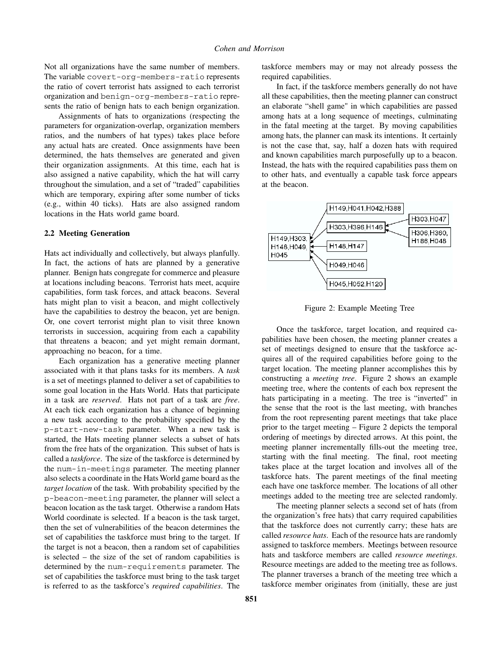Not all organizations have the same number of members. The variable covert-org-members-ratio represents the ratio of covert terrorist hats assigned to each terrorist organization and benign-org-members-ratio represents the ratio of benign hats to each benign organization.

Assignments of hats to organizations (respecting the parameters for organization-overlap, organization members ratios, and the numbers of hat types) takes place before any actual hats are created. Once assignments have been determined, the hats themselves are generated and given their organization assignments. At this time, each hat is also assigned a native capability, which the hat will carry throughout the simulation, and a set of "traded" capabilities which are temporary, expiring after some number of ticks (e.g., within 40 ticks). Hats are also assigned random locations in the Hats world game board.

#### **2.2 Meeting Generation**

Hats act individually and collectively, but always planfully. In fact, the actions of hats are planned by a generative planner. Benign hats congregate for commerce and pleasure at locations including beacons. Terrorist hats meet, acquire capabilities, form task forces, and attack beacons. Several hats might plan to visit a beacon, and might collectively have the capabilities to destroy the beacon, yet are benign. Or, one covert terrorist might plan to visit three known terrorists in succession, acquiring from each a capability that threatens a beacon; and yet might remain dormant, approaching no beacon, for a time.

Each organization has a generative meeting planner associated with it that plans tasks for its members. A *task* is a set of meetings planned to deliver a set of capabilities to some goal location in the Hats World. Hats that participate in a task are *reserved*. Hats not part of a task are *free*. At each tick each organization has a chance of beginning a new task according to the probability specified by the p-start-new-task parameter. When a new task is started, the Hats meeting planner selects a subset of hats from the free hats of the organization. This subset of hats is called a *taskforce*. The size of the taskforce is determined by the num-in-meetings parameter. The meeting planner also selects a coordinate in the Hats World game board as the *target location* of the task. With probability specified by the p-beacon-meeting parameter, the planner will select a beacon location as the task target. Otherwise a random Hats World coordinate is selected. If a beacon is the task target, then the set of vulnerabilities of the beacon determines the set of capabilities the taskforce must bring to the target. If the target is not a beacon, then a random set of capabilities is selected – the size of the set of random capabilities is determined by the num-requirements parameter. The set of capabilities the taskforce must bring to the task target is referred to as the taskforce's *required capabilities*. The

taskforce members may or may not already possess the required capabilities.

In fact, if the taskforce members generally do not have all these capabilities, then the meeting planner can construct an elaborate "shell game" in which capabilities are passed among hats at a long sequence of meetings, culminating in the fatal meeting at the target. By moving capabilities among hats, the planner can mask its intentions. It certainly is not the case that, say, half a dozen hats with required and known capabilities march purposefully up to a beacon. Instead, the hats with the required capabilities pass them on to other hats, and eventually a capable task force appears at the beacon.



Figure 2: Example Meeting Tree

Once the taskforce, target location, and required capabilities have been chosen, the meeting planner creates a set of meetings designed to ensure that the taskforce acquires all of the required capabilities before going to the target location. The meeting planner accomplishes this by constructing a *meeting tree*. Figure 2 shows an example meeting tree, where the contents of each box represent the hats participating in a meeting. The tree is "inverted" in the sense that the root is the last meeting, with branches from the root representing parent meetings that take place prior to the target meeting – Figure 2 depicts the temporal ordering of meetings by directed arrows. At this point, the meeting planner incrementally fills-out the meeting tree, starting with the final meeting. The final, root meeting takes place at the target location and involves all of the taskforce hats. The parent meetings of the final meeting each have one taskforce member. The locations of all other meetings added to the meeting tree are selected randomly.

The meeting planner selects a second set of hats (from the organization's free hats) that carry required capabilities that the taskforce does not currently carry; these hats are called *resource hats*. Each of the resource hats are randomly assigned to taskforce members. Meetings between resource hats and taskforce members are called *resource meetings*. Resource meetings are added to the meeting tree as follows. The planner traverses a branch of the meeting tree which a taskforce member originates from (initially, these are just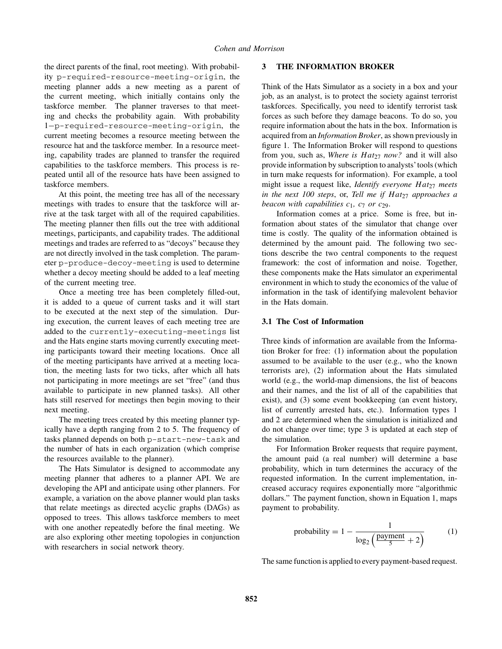the direct parents of the final, root meeting). With probability p-required-resource-meeting-origin, the meeting planner adds a new meeting as a parent of the current meeting, which initially contains only the taskforce member. The planner traverses to that meeting and checks the probability again. With probability 1−p-required-resource-meeting-origin, the current meeting becomes a resource meeting between the resource hat and the taskforce member. In a resource meeting, capability trades are planned to transfer the required capabilities to the taskforce members. This process is repeated until all of the resource hats have been assigned to taskforce members.

At this point, the meeting tree has all of the necessary meetings with trades to ensure that the taskforce will arrive at the task target with all of the required capabilities. The meeting planner then fills out the tree with additional meetings, participants, and capability trades. The additional meetings and trades are referred to as "decoys" because they are not directly involved in the task completion. The parameter p-produce-decoy-meeting is used to determine whether a decoy meeting should be added to a leaf meeting of the current meeting tree.

Once a meeting tree has been completely filled-out, it is added to a queue of current tasks and it will start to be executed at the next step of the simulation. During execution, the current leaves of each meeting tree are added to the currently-executing-meetings list and the Hats engine starts moving currently executing meeting participants toward their meeting locations. Once all of the meeting participants have arrived at a meeting location, the meeting lasts for two ticks, after which all hats not participating in more meetings are set "free" (and thus available to participate in new planned tasks). All other hats still reserved for meetings then begin moving to their next meeting.

The meeting trees created by this meeting planner typically have a depth ranging from 2 to 5. The frequency of tasks planned depends on both p-start-new-task and the number of hats in each organization (which comprise the resources available to the planner).

The Hats Simulator is designed to accommodate any meeting planner that adheres to a planner API. We are developing the API and anticipate using other planners. For example, a variation on the above planner would plan tasks that relate meetings as directed acyclic graphs (DAGs) as opposed to trees. This allows taskforce members to meet with one another repeatedly before the final meeting. We are also exploring other meeting topologies in conjunction with researchers in social network theory.

### **3 THE INFORMATION BROKER**

Think of the Hats Simulator as a society in a box and your job, as an analyst, is to protect the society against terrorist taskforces. Specifically, you need to identify terrorist task forces as such before they damage beacons. To do so, you require information about the hats in the box. Information is acquired from an *Information Broker*, as shown previously in figure [1.](#page-1-0) The Information Broker will respond to questions from you, such as, *Where is Hat*<sub>27</sub> *now?* and it will also provide information by subscription to analysts'tools (which in turn make requests for information). For example, a tool might issue a request like, *Identify everyone Hat*<sup>27</sup> *meets in the next 100 steps*, or, *Tell me if Hat*<sup>27</sup> *approaches a beacon with capabilities*  $c_1$ ,  $c_7$  *or*  $c_{29}$ .

Information comes at a price. Some is free, but information about states of the simulator that change over time is costly. The quality of the information obtained is determined by the amount paid. The following two sections describe the two central components to the request framework: the cost of information and noise. Together, these components make the Hats simulator an experimental environment in which to study the economics of the value of information in the task of identifying malevolent behavior in the Hats domain.

### **3.1 The Cost of Information**

Three kinds of information are available from the Information Broker for free: (1) information about the population assumed to be available to the user (e.g., who the known terrorists are), (2) information about the Hats simulated world (e.g., the world-map dimensions, the list of beacons and their names, and the list of all of the capabilities that exist), and (3) some event bookkeeping (an event history, list of currently arrested hats, etc.). Information types 1 and 2 are determined when the simulation is initialized and do not change over time; type 3 is updated at each step of the simulation.

For Information Broker requests that require payment, the amount paid (a real number) will determine a base probability, which in turn determines the accuracy of the requested information. In the current implementation, increased accuracy requires exponentially more "algorithmic dollars." The payment function, shown in Equation 1, maps payment to probability.

$$
probability = 1 - \frac{1}{\log_2\left(\frac{payment}{5} + 2\right)}\tag{1}
$$

The same function is applied to every payment-based request.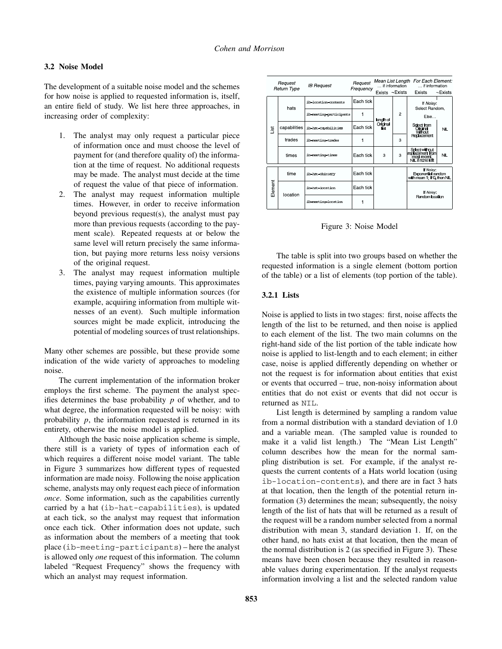## **3.2 Noise Model**

The development of a suitable noise model and the schemes for how noise is applied to requested information is, itself, an entire field of study. We list here three approaches, in increasing order of complexity:

- 1. The analyst may only request a particular piece of information once and must choose the level of payment for (and therefore quality of) the information at the time of request. No additional requests may be made. The analyst must decide at the time of request the value of that piece of information.
- 2. The analyst may request information multiple times. However, in order to receive information beyond previous request(s), the analyst must pay more than previous requests (according to the payment scale). Repeated requests at or below the same level will return precisely the same information, but paying more returns less noisy versions of the original request.
- 3. The analyst may request information multiple times, paying varying amounts. This approximates the existence of multiple information sources (for example, acquiring information from multiple witnesses of an event). Such multiple information sources might be made explicit, introducing the potential of modeling sources of trust relationships.

Many other schemes are possible, but these provide some indication of the wide variety of approaches to modeling noise.

The current implementation of the information broker employs the first scheme. The payment the analyst specifies determines the base probability  $p$  of whether, and to what degree, the information requested will be noisy: with probability *p*, the information requested is returned in its entirety, otherwise the noise model is applied.

Although the basic noise application scheme is simple, there still is a variety of types of information each of which requires a different noise model variant. The table in Figure 3 summarizes how different types of requested information are made noisy. Following the noise application scheme, analysts may only request each piece of information *once*. Some information, such as the capabilities currently carried by a hat (ib-hat-capabilities), is updated at each tick, so the analyst may request that information once each tick. Other information does not update, such as information about the members of a meeting that took place (ib-meeting-participants) – here the analyst is allowed only *one* request of this information. The column labeled "Request Frequency" shows the frequency with which an analyst may request information.

|         |      | Request<br>Return Type  | <b>IB Reauest</b>       | Reauest<br>Frequency | Mean List Length For Each Element:<br>if information<br>if information |                |                                                                      |               |
|---------|------|-------------------------|-------------------------|----------------------|------------------------------------------------------------------------|----------------|----------------------------------------------------------------------|---------------|
|         |      |                         |                         |                      | Exists →Exists                                                         |                | Exists                                                               | $\neg$ Exists |
|         |      | hats                    | ib location contents    | Each tick            |                                                                        | $\overline{c}$ | If Noisy:<br>Select Random.                                          |               |
|         | List |                         | ib meeting participants |                      | ength of<br>Original<br>ist                                            |                | Else                                                                 |               |
|         |      | capabilities            | ib hat capabilities     | Each tick            |                                                                        |                | Select from<br>Original<br>Without                                   | ΝI            |
|         |      | trades                  | ib meeting trades       |                      |                                                                        | 3              | Replacement                                                          |               |
|         |      | times                   | ib meeting times        | Each tick            | 3                                                                      | 3              | Seect without<br>replacement from<br>most recent;<br>NL if none left | NL.           |
|         |      |                         |                         |                      |                                                                        |                | f Noisy.                                                             |               |
| Element |      | time<br>ib hat obituary |                         | Each tick            |                                                                        |                | Exponential random<br>with mean 1: If 0, then NIL                    |               |
|         |      | location                | ib-hat-location         | Each tick            | f Noisy:<br>Random location                                            |                |                                                                      |               |
|         |      |                         | ib meeting location     |                      |                                                                        |                |                                                                      |               |

Figure 3: Noise Model

The table is split into two groups based on whether the requested information is a single element (bottom portion of the table) or a list of elements (top portion of the table).

### **3.2.1 Lists**

Noise is applied to lists in two stages: first, noise affects the length of the list to be returned, and then noise is applied to each element of the list. The two main columns on the right-hand side of the list portion of the table indicate how noise is applied to list-length and to each element; in either case, noise is applied differently depending on whether or not the request is for information about entities that exist or events that occurred – true, non-noisy information about entities that do not exist or events that did not occur is returned as NIL.

List length is determined by sampling a random value from a normal distribution with a standard deviation of 1.0 and a variable mean. (The sampled value is rounded to make it a valid list length.) The "Mean List Length" column describes how the mean for the normal sampling distribution is set. For example, if the analyst requests the current contents of a Hats world location (using ib-location-contents), and there are in fact 3 hats at that location, then the length of the potential return information (3) determines the mean; subsequently, the noisy length of the list of hats that will be returned as a result of the request will be a random number selected from a normal distribution with mean 3, standard deviation 1. If, on the other hand, no hats exist at that location, then the mean of the normal distribution is 2 (as specified in Figure 3). These means have been chosen because they resulted in reasonable values during experimentation. If the analyst requests information involving a list and the selected random value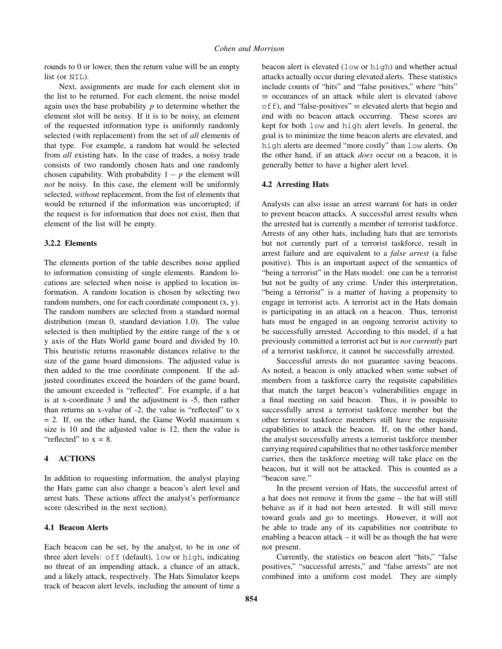rounds to 0 or lower, then the return value will be an empty list (or NIL).

Next, assignments are made for each element slot in the list to be returned. For each element, the noise model again uses the base probability *p* to determine whether the element slot will be noisy. If it is to be noisy, an element of the requested information type is uniformly randomly selected (with replacement) from the set of *all* elements of that type. For example, a random hat would be selected from *all* existing hats. In the case of trades, a noisy trade consists of two randomly chosen hats and one randomly chosen capability. With probability  $1 - p$  the element will *not* be noisy. In this case, the element will be uniformly selected, *without* replacement, from the list of elements that would be returned if the information was uncorrupted; if the request is for information that does not exist, then that element of the list will be empty.

#### **3.2.2 Elements**

The elements portion of the table describes noise applied to information consisting of single elements. Random locations are selected when noise is applied to location information. A random location is chosen by selecting two random numbers, one for each coordinate component (x, y). The random numbers are selected from a standard normal distribution (mean 0, standard deviation 1.0). The value selected is then multiplied by the entire range of the x or y axis of the Hats World game board and divided by 10. This heuristic returns reasonable distances relative to the size of the game board dimensions. The adjusted value is then added to the true coordinate component. If the adjusted coordinates exceed the boarders of the game board, the amount exceeded is "reflected". For example, if a hat is at x-coordinate 3 and the adjustment is -5, then rather than returns an x-value of -2, the value is "reflected" to x  $= 2$ . If, on the other hand, the Game World maximum x size is 10 and the adjusted value is 12, then the value is "reflected" to  $x = 8$ .

### **4 ACTIONS**

In addition to requesting information, the analyst playing the Hats game can also change a beacon's alert level and arrest hats. These actions affect the analyst's performance score (described in the next section).

### **4.1 Beacon Alerts**

Each beacon can be set, by the analyst, to be in one of three alert levels: off (default), low or high, indicating no threat of an impending attack, a chance of an attack, and a likely attack, respectively. The Hats Simulator keeps track of beacon alert levels, including the amount of time a

beacon alert is elevated (low or high) and whether actual attacks actually occur during elevated alerts. These statistics include counts of "hits" and "false positives," where "hits"  $\equiv$  occurances of an attack while alert is elevated (above off), and "false-positives" ≡ elevated alerts that begin and end with no beacon attack occurring. These scores are kept for both low and high alert levels. In general, the goal is to minimize the time beacon alerts are elevated, and high alerts are deemed "more costly" than low alerts. On the other hand, if an attack *does* occur on a beacon, it is generally better to have a higher alert level.

### **4.2 Arresting Hats**

Analysts can also issue an arrest warrant for hats in order to prevent beacon attacks. A successful arrest results when the arrested hat is currently a member of terrorist taskforce. Arrests of any other hats, including hats that are terrorists but not currently part of a terrorist taskforce, result in arrest failure and are equivalent to a *false arrest* (a false positive). This is an important aspect of the semantics of "being a terrorist" in the Hats model: one can be a terrorist but not be guilty of any crime. Under this interpretation, "being a terrorist" is a matter of having a propensity to engage in terrorist acts. A terrorist act in the Hats domain is participating in an attack on a beacon. Thus, terrorist hats must be engaged in an ongoing terrorist activity to be successfully arrested. According to this model, if a hat previously committed a terrorist act but is *not currently* part of a terrorist taskforce, it cannot be successfully arrested.

Successful arrests do not guarantee saving beacons. As noted, a beacon is only attacked when some subset of members from a taskforce carry the requisite capabilities that match the target beacon's vulnerabilities engage in a final meeting on said beacon. Thus, it is possible to successfully arrest a terrorist taskforce member but the other terrorist taskforce members still have the requisite capabilities to attack the beacon. If, on the other hand, the analyst successfully arrests a terrorist taskforce member carrying required capabilities that no other taskforce member carries, then the taskforce meeting will take place on the beacon, but it will not be attacked. This is counted as a "beacon save."

In the present version of Hats, the successful arrest of a hat does not remove it from the game – the hat will still behave as if it had not been arrested. It will still move toward goals and go to meetings. However, it will not be able to trade any of its capabilities nor contribute to enabling a beacon attack – it will be as though the hat were not present.

Currently, the statistics on beacon alert "hits," "false positives," "successful arrests," and "false arrests" are not combined into a uniform cost model. They are simply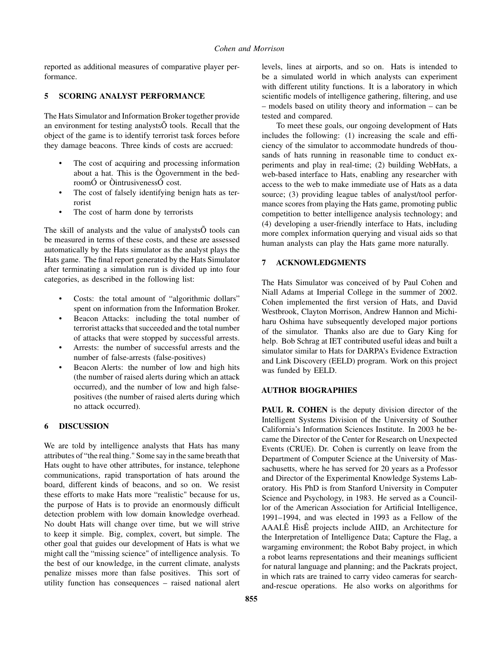reported as additional measures of comparative player performance.

# **5 SCORING ANALYST PERFORMANCE**

The Hats Simulator and Information Broker together provide an environment for testing analystsÕ tools. Recall that the object of the game is to identify terrorist task forces before they damage beacons. Three kinds of costs are accrued:

- The cost of acquiring and processing information about a hat. This is the Ògovernment in the bedroomÓ or ÒintrusivenessÓ cost.
- The cost of falsely identifying benign hats as terrorist
- The cost of harm done by terrorists

The skill of analysts and the value of analystsÕ tools can be measured in terms of these costs, and these are assessed automatically by the Hats simulator as the analyst plays the Hats game. The final report generated by the Hats Simulator after terminating a simulation run is divided up into four categories, as described in the following list:

- Costs: the total amount of "algorithmic dollars" spent on information from the Information Broker.
- Beacon Attacks: including the total number of terrorist attacks that succeeded and the total number of attacks that were stopped by successful arrests.
- Arrests: the number of successful arrests and the number of false-arrests (false-positives)
- Beacon Alerts: the number of low and high hits (the number of raised alerts during which an attack occurred), and the number of low and high falsepositives (the number of raised alerts during which no attack occurred).

# **6 DISCUSSION**

We are told by intelligence analysts that Hats has many attributes of "the real thing." Some say in the same breath that Hats ought to have other attributes, for instance, telephone communications, rapid transportation of hats around the board, different kinds of beacons, and so on. We resist these efforts to make Hats more "realistic" because for us, the purpose of Hats is to provide an enormously difficult detection problem with low domain knowledge overhead. No doubt Hats will change over time, but we will strive to keep it simple. Big, complex, covert, but simple. The other goal that guides our development of Hats is what we might call the "missing science" of intelligence analysis. To the best of our knowledge, in the current climate, analysts penalize misses more than false positives. This sort of utility function has consequences – raised national alert levels, lines at airports, and so on. Hats is intended to be a simulated world in which analysts can experiment with different utility functions. It is a laboratory in which scientific models of intelligence gathering, filtering, and use – models based on utility theory and information – can be tested and compared.

To meet these goals, our ongoing development of Hats includes the following: (1) increasing the scale and efficiency of the simulator to accommodate hundreds of thousands of hats running in reasonable time to conduct experiments and play in real-time; (2) building WebHats, a web-based interface to Hats, enabling any researcher with access to the web to make immediate use of Hats as a data source; (3) providing league tables of analyst/tool performance scores from playing the Hats game, promoting public competition to better intelligence analysis technology; and (4) developing a user-friendly interface to Hats, including more complex information querying and visual aids so that human analysts can play the Hats game more naturally.

# **7 ACKNOWLEDGMENTS**

The Hats Simulator was conceived of by Paul Cohen and Niall Adams at Imperial College in the summer of 2002. Cohen implemented the first version of Hats, and David Westbrook, Clayton Morrison, Andrew Hannon and Michiharu Oshima have subsequently developed major portions of the simulator. Thanks also are due to Gary King for help. Bob Schrag at IET contributed useful ideas and built a simulator similar to Hats for DARPA's Evidence Extraction and Link Discovery (EELD) program. Work on this project was funded by EELD.

# **AUTHOR BIOGRAPHIES**

PAUL R. COHEN is the deputy division director of the Intelligent Systems Division of the University of Souther California's Information Sciences Institute. In 2003 he became the Director of the Center for Research on Unexpected Events (CRUE). Dr. Cohen is currently on leave from the Department of Computer Science at the University of Massachusetts, where he has served for 20 years as a Professor and Director of the Experimental Knowledge Systems Laboratory. His PhD is from Stanford University in Computer Science and Psychology, in 1983. He served as a Councillor of the American Association for Artificial Intelligence, 1991–1994, and was elected in 1993 as a Fellow of the AAAI.Ê HisÊ projects include AIID, an Architecture for the Interpretation of Intelligence Data; Capture the Flag, a wargaming environment; the Robot Baby project, in which a robot learns representations and their meanings sufficient for natural language and planning; and the Packrats project, in which rats are trained to carry video cameras for searchand-rescue operations. He also works on algorithms for